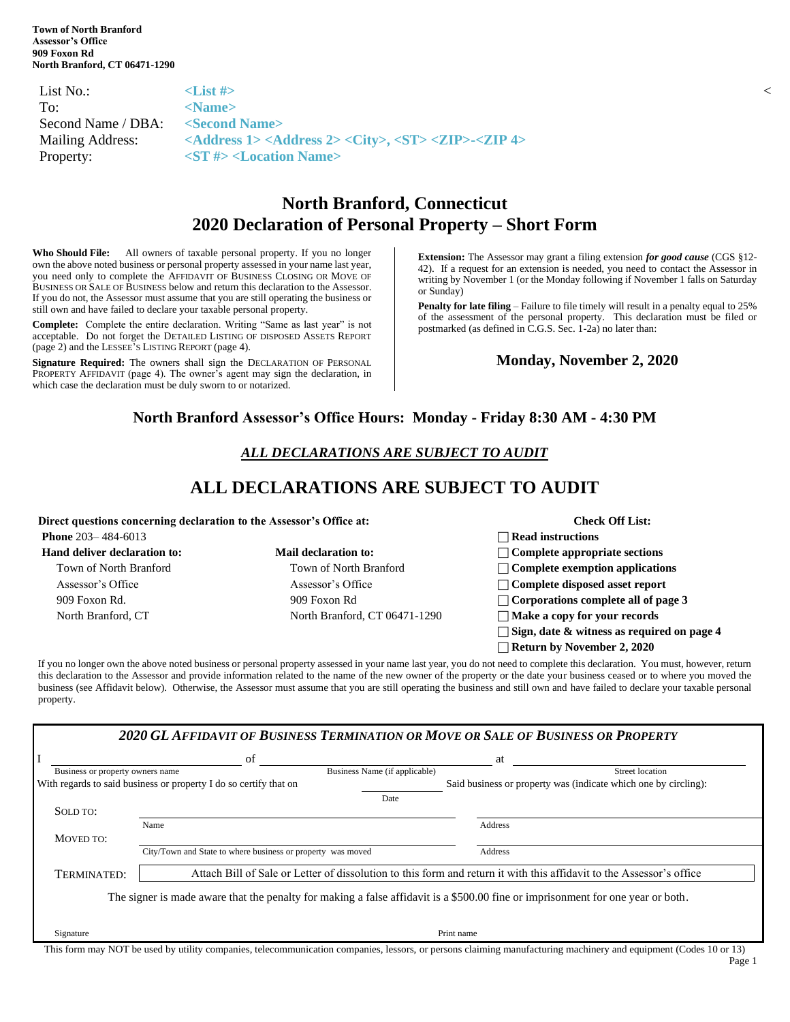| List No.:                                    | $\mathbb{Z}$ List # $\mathbb{R}$                                                                                 |  |
|----------------------------------------------|------------------------------------------------------------------------------------------------------------------|--|
| To:                                          | $<$ Name $>$                                                                                                     |  |
| Second Name / DBA: <second name=""></second> |                                                                                                                  |  |
| Mailing Address:                             | $\alpha$ <address 1=""> <address 2=""> <city>, <st> <zip>-<zip 4=""></zip></zip></st></city></address></address> |  |
| Property:                                    | $\langle$ ST # $\rangle$ <location name=""></location>                                                           |  |

# **North Branford, Connecticut 2020 Declaration of Personal Property – Short Form**

**Who Should File:** All owners of taxable personal property. If you no longer own the above noted business or personal property assessed in your name last year, you need only to complete the AFFIDAVIT OF BUSINESS CLOSING OR MOVE OF BUSINESS OR SALE OF BUSINESS below and return this declaration to the Assessor. If you do not, the Assessor must assume that you are still operating the business or still own and have failed to declare your taxable personal property.

**Complete:** Complete the entire declaration. Writing "Same as last year" is not acceptable. Do not forget the DETAILED LISTING OF DISPOSED ASSETS REPORT (page 2) and the LESSEE'S LISTING REPORT (page 4).

**Signature Required:** The owners shall sign the DECLARATION OF PERSONAL PROPERTY AFFIDAVIT (page 4). The owner's agent may sign the declaration, in which case the declaration must be duly sworn to or notarized.

**Extension:** The Assessor may grant a filing extension *for good cause* (CGS §12- 42). If a request for an extension is needed, you need to contact the Assessor in writing by November 1 (or the Monday following if November 1 falls on Saturday or Sunday)

**Penalty for late filing** – Failure to file timely will result in a penalty equal to 25% of the assessment of the personal property. This declaration must be filed or postmarked (as defined in C.G.S. Sec. 1-2a) no later than:

#### **Monday, November 2, 2020**

### **North Branford Assessor's Office Hours: Monday - Friday 8:30 AM - 4:30 PM**

### *ALL DECLARATIONS ARE SUBJECT TO AUDIT*

## **ALL DECLARATIONS ARE SUBJECT TO AUDIT**

| Direct questions concerning declaration to the Assessor's Office at: |                               | <b>Check Off List:</b>                            |
|----------------------------------------------------------------------|-------------------------------|---------------------------------------------------|
| <b>Phone</b> $203 - 484 - 6013$                                      |                               | $\Box$ Read instructions                          |
| Hand deliver declaration to:                                         | Mail declaration to:          | $\Box$ Complete appropriate sections              |
| Town of North Branford                                               | Town of North Branford        | $\Box$ Complete exemption applications            |
| Assessor's Office                                                    | Assessor's Office             | $\Box$ Complete disposed asset report             |
| 909 Foxon Rd.                                                        | 909 Foxon Rd                  | $\Box$ Corporations complete all of page 3        |
| North Branford, CT                                                   | North Branford, CT 06471-1290 | $\Box$ Make a copy for your records               |
|                                                                      |                               | $\Box$ Sign, date & witness as required on page 4 |
|                                                                      |                               | $\Box$ Return by November 2, 2020                 |

If you no longer own the above noted business or personal property assessed in your name last year, you do not need to complete this declaration. You must, however, return this declaration to the Assessor and provide information related to the name of the new owner of the property or the date your business ceased or to where you moved the business (see Affidavit below). Otherwise, the Assessor must assume that you are still operating the business and still own and have failed to declare your taxable personal property.

|                                  | of                                                                |                               | at                                                                                                                              |
|----------------------------------|-------------------------------------------------------------------|-------------------------------|---------------------------------------------------------------------------------------------------------------------------------|
| Business or property owners name |                                                                   | Business Name (if applicable) | <b>Street location</b>                                                                                                          |
|                                  | With regards to said business or property I do so certify that on |                               | Said business or property was (indicate which one by circling):                                                                 |
|                                  |                                                                   | Date                          |                                                                                                                                 |
| SOLD TO:                         |                                                                   |                               |                                                                                                                                 |
|                                  | Name                                                              |                               | Address                                                                                                                         |
| MOVED TO:                        |                                                                   |                               |                                                                                                                                 |
|                                  | City/Town and State to where business or property was moved       |                               | Address                                                                                                                         |
| TERMINATED:                      |                                                                   |                               | Attach Bill of Sale or Letter of dissolution to this form and return it with this affidavit to the Assessor's office            |
|                                  |                                                                   |                               |                                                                                                                                 |
|                                  |                                                                   |                               | The signer is made aware that the penalty for making a false affidavit is a \$500.00 fine or imprisonment for one year or both. |

| This        |                           |         |           |                             |         |            |                                  |        |            |        |      | $\sim$ |
|-------------|---------------------------|---------|-----------|-----------------------------|---------|------------|----------------------------------|--------|------------|--------|------|--------|
| torm<br>may | NOT<br>used<br>. hv<br>ho | utılıtv | companies | telecommunication companies | lessors | or persons | claiming manufacturing machinery | ano an | requipment | . odes | ) or |        |
|             |                           |         |           |                             |         |            |                                  |        |            |        |      |        |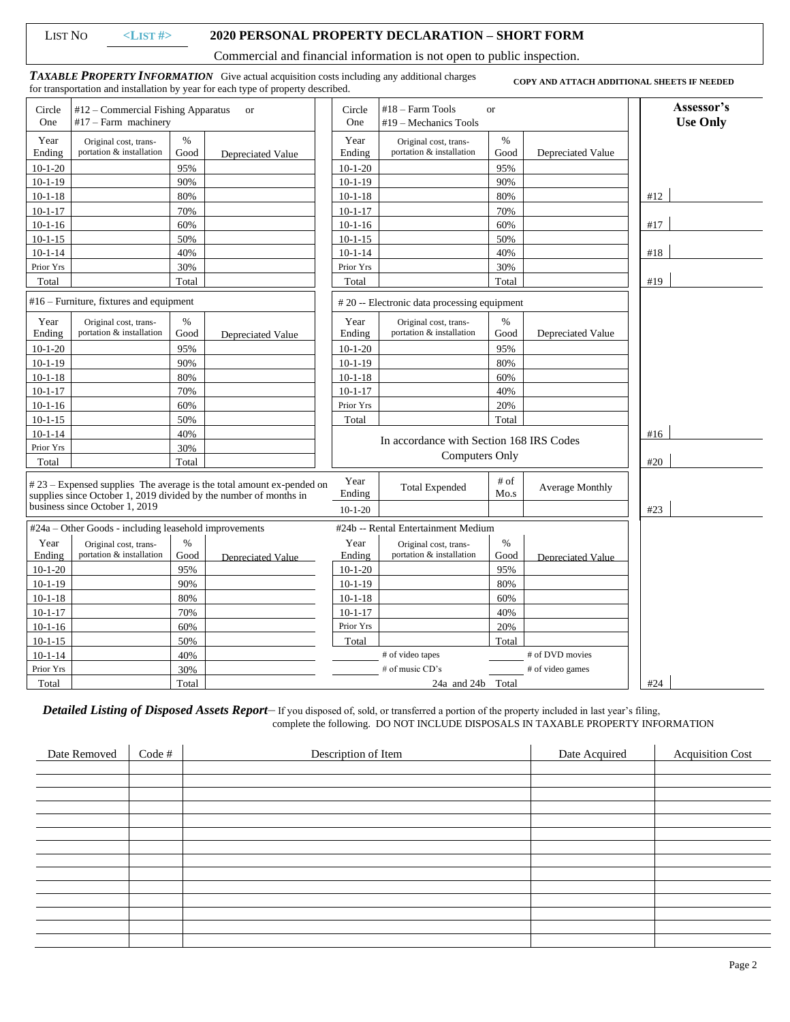| List No |  |
|---------|--|
|---------|--|

### LIST NO **<LIST #> 2020 PERSONAL PROPERTY DECLARATION – SHORT FORM**

Commercial and financial information is not open to public inspection.

*TAXABLE PROPERTY INFORMATION*Give actual acquisition costs including any additional charges for transportation and installation by year for each type of property described. **COPY AND ATTACH ADDITIONAL SHEETS IF NEEDED** 

| Circle<br>One  | $#12$ – Commercial Fishing Apparatus<br>$#17$ – Farm machinery |              | <b>or</b>                                                                                                                                   | Circle<br>One  | $#18$ – Farm Tools<br>$#19$ – Mechanics Tools                     | <b>or</b>    |                        | Assessor's<br><b>Use Only</b> |
|----------------|----------------------------------------------------------------|--------------|---------------------------------------------------------------------------------------------------------------------------------------------|----------------|-------------------------------------------------------------------|--------------|------------------------|-------------------------------|
| Year<br>Ending | Original cost, trans-<br>portation & installation              | $\%$<br>Good | Depreciated Value                                                                                                                           | Year<br>Ending | Original cost, trans-<br>portation & installation                 | $\%$<br>Good | Depreciated Value      |                               |
| $10-1-20$      |                                                                | 95%          |                                                                                                                                             | $10-1-20$      |                                                                   | 95%          |                        |                               |
| $10-1-19$      |                                                                | 90%          |                                                                                                                                             | $10-1-19$      |                                                                   | 90%          |                        |                               |
| $10-1-18$      |                                                                | 80%          |                                                                                                                                             | $10-1-18$      |                                                                   | 80%          |                        | #12                           |
| $10-1-17$      |                                                                | 70%          |                                                                                                                                             | $10 - 1 - 17$  |                                                                   | 70%          |                        |                               |
| $10-1-16$      |                                                                | 60%          |                                                                                                                                             | $10-1-16$      |                                                                   | 60%          |                        | #17                           |
| $10 - 1 - 15$  |                                                                | 50%          |                                                                                                                                             | $10 - 1 - 15$  |                                                                   | 50%          |                        |                               |
| $10 - 1 - 14$  |                                                                | 40%          |                                                                                                                                             | $10 - 1 - 14$  |                                                                   | 40%          |                        | #18                           |
| Prior Yrs      |                                                                | 30%          |                                                                                                                                             | Prior Yrs      |                                                                   | 30%          |                        |                               |
| Total          |                                                                | Total        |                                                                                                                                             | Total          |                                                                   | Total        |                        | #19                           |
|                | $#16$ – Furniture, fixtures and equipment                      |              |                                                                                                                                             |                | #20 -- Electronic data processing equipment                       |              |                        |                               |
| Year<br>Ending | Original cost, trans-<br>portation & installation              | $\%$<br>Good | Depreciated Value                                                                                                                           | Year<br>Ending | Original cost, trans-<br>portation & installation                 | $\%$<br>Good | Depreciated Value      |                               |
| $10 - 1 - 20$  |                                                                | 95%          |                                                                                                                                             | $10-1-20$      |                                                                   | 95%          |                        |                               |
| $10 - 1 - 19$  |                                                                | 90%          |                                                                                                                                             | $10 - 1 - 19$  |                                                                   | 80%          |                        |                               |
| $10 - 1 - 18$  |                                                                | 80%          |                                                                                                                                             | $10 - 1 - 18$  |                                                                   | 60%          |                        |                               |
| $10 - 1 - 17$  |                                                                | 70%          |                                                                                                                                             | $10 - 1 - 17$  |                                                                   | 40%          |                        |                               |
| $10 - 1 - 16$  |                                                                | 60%          |                                                                                                                                             | Prior Yrs      |                                                                   | 20%          |                        |                               |
| $10-1-15$      |                                                                | 50%          |                                                                                                                                             | Total          |                                                                   | Total        |                        |                               |
| $10-1-14$      |                                                                | 40%          |                                                                                                                                             |                |                                                                   |              |                        | #16                           |
| Prior Yrs      |                                                                | 30%          |                                                                                                                                             |                | In accordance with Section 168 IRS Codes<br><b>Computers Only</b> |              |                        |                               |
| Total          |                                                                | Total        |                                                                                                                                             |                |                                                                   |              |                        | #20                           |
|                |                                                                |              | $#23$ – Expensed supplies The average is the total amount ex-pended on<br>supplies since October 1, 2019 divided by the number of months in | Year<br>Ending | <b>Total Expended</b>                                             | # of<br>Mo.s | <b>Average Monthly</b> |                               |
|                | business since October 1, 2019                                 |              |                                                                                                                                             | $10-1-20$      |                                                                   |              |                        | #23                           |
|                | #24a – Other Goods - including leasehold improvements          |              |                                                                                                                                             |                | #24b -- Rental Entertainment Medium                               |              |                        |                               |
| Year           | Original cost, trans-                                          | $\%$         |                                                                                                                                             | Year           | Original cost, trans-                                             | $\%$         |                        |                               |
| Ending         | portation & installation                                       | Good         | Depreciated Value                                                                                                                           | Ending         | portation & installation                                          | Good         | Depreciated Value      |                               |
| $10 - 1 - 20$  |                                                                | 95%          |                                                                                                                                             | $10-1-20$      |                                                                   | 95%          |                        |                               |
| $10-1-19$      |                                                                | 90%          |                                                                                                                                             | $10-1-19$      |                                                                   | 80%          |                        |                               |
| $10 - 1 - 18$  |                                                                | 80%          |                                                                                                                                             | $10 - 1 - 18$  |                                                                   | 60%          |                        |                               |
| $10 - 1 - 17$  |                                                                | 70%          |                                                                                                                                             | $10 - 1 - 17$  |                                                                   | 40%          |                        |                               |
| $10 - 1 - 16$  |                                                                | 60%          |                                                                                                                                             | Prior Yrs      |                                                                   | 20%          |                        |                               |
| $10 - 1 - 15$  |                                                                | 50%          |                                                                                                                                             | Total          |                                                                   | Total        |                        |                               |
| $10 - 1 - 14$  |                                                                | 40%          |                                                                                                                                             |                | # of video tapes                                                  |              | # of DVD movies        |                               |
| Prior Yrs      |                                                                | 30%          |                                                                                                                                             |                | # of music CD's                                                   |              | # of video games       |                               |
| Total          |                                                                | Total        |                                                                                                                                             |                | 24a and 24b Total                                                 |              |                        | #24                           |

*Detailed Listing of Disposed Assets Report*– If you disposed of, sold, or transferred a portion of the property included in last year's filing, complete the following. DO NOT INCLUDE DISPOSALS IN TAXABLE PROPERTY INFORMATION

| Date Removed | Code # | Description of Item | Date Acquired | <b>Acquisition Cost</b> |
|--------------|--------|---------------------|---------------|-------------------------|
|              |        |                     |               |                         |
|              |        |                     |               |                         |
|              |        |                     |               |                         |
|              |        |                     |               |                         |
|              |        |                     |               |                         |
|              |        |                     |               |                         |
|              |        |                     |               |                         |
|              |        |                     |               |                         |
|              |        |                     |               |                         |
|              |        |                     |               |                         |
|              |        |                     |               |                         |
|              |        |                     |               |                         |
|              |        |                     |               |                         |
|              |        |                     |               |                         |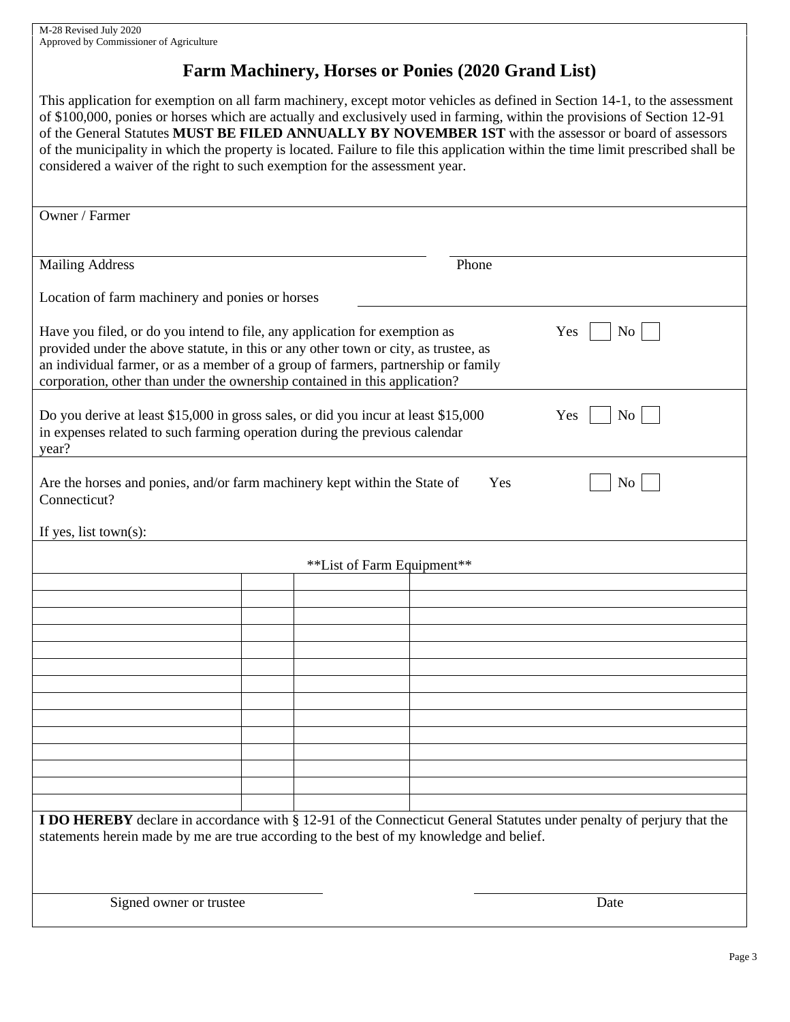# **Farm Machinery, Horses or Ponies (2020 Grand List)**

This application for exemption on all farm machinery, except motor vehicles as defined in Section 14-1, to the assessment of \$100,000, ponies or horses which are actually and exclusively used in farming, within the provisions of Section 12-91 of the General Statutes **MUST BE FILED ANNUALLY BY NOVEMBER 1ST** with the assessor or board of assessors of the municipality in which the property is located. Failure to file this application within the time limit prescribed shall be considered a waiver of the right to such exemption for the assessment year.

| Owner / Farmer                                                                                                                                                                                                                                                                                                                       |                            |                                                                                                                             |
|--------------------------------------------------------------------------------------------------------------------------------------------------------------------------------------------------------------------------------------------------------------------------------------------------------------------------------------|----------------------------|-----------------------------------------------------------------------------------------------------------------------------|
|                                                                                                                                                                                                                                                                                                                                      |                            |                                                                                                                             |
| <b>Mailing Address</b>                                                                                                                                                                                                                                                                                                               |                            | Phone                                                                                                                       |
|                                                                                                                                                                                                                                                                                                                                      |                            |                                                                                                                             |
| Location of farm machinery and ponies or horses                                                                                                                                                                                                                                                                                      |                            |                                                                                                                             |
| Have you filed, or do you intend to file, any application for exemption as<br>provided under the above statute, in this or any other town or city, as trustee, as<br>an individual farmer, or as a member of a group of farmers, partnership or family<br>corporation, other than under the ownership contained in this application? |                            | Yes<br>No                                                                                                                   |
| Do you derive at least \$15,000 in gross sales, or did you incur at least \$15,000<br>in expenses related to such farming operation during the previous calendar<br>year?                                                                                                                                                            |                            | Yes<br>No                                                                                                                   |
| Are the horses and ponies, and/or farm machinery kept within the State of<br>Connecticut?                                                                                                                                                                                                                                            |                            | Yes<br>N <sub>o</sub>                                                                                                       |
| If yes, list town(s):                                                                                                                                                                                                                                                                                                                |                            |                                                                                                                             |
|                                                                                                                                                                                                                                                                                                                                      | **List of Farm Equipment** |                                                                                                                             |
|                                                                                                                                                                                                                                                                                                                                      |                            |                                                                                                                             |
|                                                                                                                                                                                                                                                                                                                                      |                            |                                                                                                                             |
|                                                                                                                                                                                                                                                                                                                                      |                            |                                                                                                                             |
|                                                                                                                                                                                                                                                                                                                                      |                            |                                                                                                                             |
|                                                                                                                                                                                                                                                                                                                                      |                            |                                                                                                                             |
|                                                                                                                                                                                                                                                                                                                                      |                            |                                                                                                                             |
|                                                                                                                                                                                                                                                                                                                                      |                            |                                                                                                                             |
|                                                                                                                                                                                                                                                                                                                                      |                            |                                                                                                                             |
|                                                                                                                                                                                                                                                                                                                                      |                            |                                                                                                                             |
|                                                                                                                                                                                                                                                                                                                                      |                            |                                                                                                                             |
|                                                                                                                                                                                                                                                                                                                                      |                            |                                                                                                                             |
|                                                                                                                                                                                                                                                                                                                                      |                            |                                                                                                                             |
|                                                                                                                                                                                                                                                                                                                                      |                            |                                                                                                                             |
| statements herein made by me are true according to the best of my knowledge and belief.                                                                                                                                                                                                                                              |                            | <b>I DO HEREBY</b> declare in accordance with § 12-91 of the Connecticut General Statutes under penalty of perjury that the |
| Signed owner or trustee                                                                                                                                                                                                                                                                                                              |                            | Date                                                                                                                        |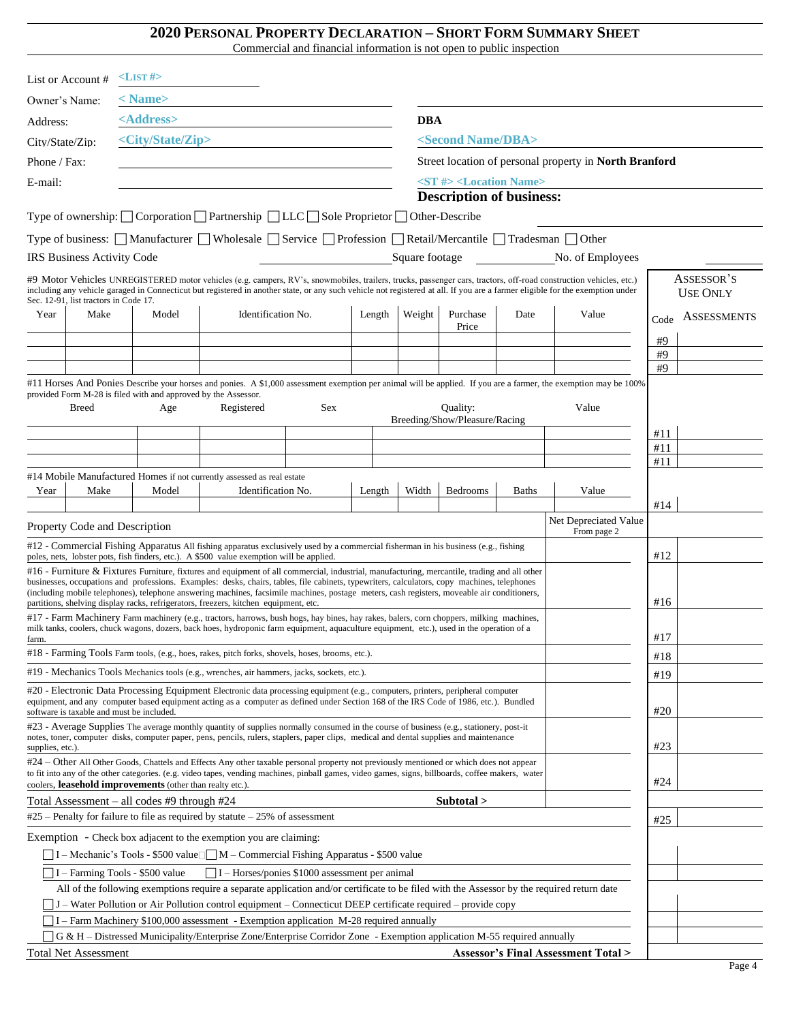#### **2020 PERSONAL PROPERTY DECLARATION – SHORT FORM SUMMARY SHEET**

Commercial and financial information is not open to public inspection

|                  | List or Account #                                              | $\langle$ LIST#>              |                                                                                                                                                                                                                                                                                                                                                                                     |     |        |                |                                              |       |                                                                                                                                                                                                                                                                                                                                                    |        |                               |
|------------------|----------------------------------------------------------------|-------------------------------|-------------------------------------------------------------------------------------------------------------------------------------------------------------------------------------------------------------------------------------------------------------------------------------------------------------------------------------------------------------------------------------|-----|--------|----------------|----------------------------------------------|-------|----------------------------------------------------------------------------------------------------------------------------------------------------------------------------------------------------------------------------------------------------------------------------------------------------------------------------------------------------|--------|-------------------------------|
| Owner's Name:    |                                                                | $<$ Name $>$                  |                                                                                                                                                                                                                                                                                                                                                                                     |     |        |                |                                              |       |                                                                                                                                                                                                                                                                                                                                                    |        |                               |
| Address:         |                                                                | <address></address>           |                                                                                                                                                                                                                                                                                                                                                                                     |     |        | <b>DBA</b>     |                                              |       |                                                                                                                                                                                                                                                                                                                                                    |        |                               |
| City/State/Zip:  |                                                                | <city state="" zip=""></city> |                                                                                                                                                                                                                                                                                                                                                                                     |     |        |                | <second dba="" name=""></second>             |       |                                                                                                                                                                                                                                                                                                                                                    |        |                               |
| Phone / Fax:     |                                                                |                               |                                                                                                                                                                                                                                                                                                                                                                                     |     |        |                |                                              |       | Street location of personal property in North Branford                                                                                                                                                                                                                                                                                             |        |                               |
| E-mail:          |                                                                |                               |                                                                                                                                                                                                                                                                                                                                                                                     |     |        |                | <st #=""> <location name=""></location></st> |       |                                                                                                                                                                                                                                                                                                                                                    |        |                               |
|                  |                                                                |                               |                                                                                                                                                                                                                                                                                                                                                                                     |     |        |                | <b>Description of business:</b>              |       |                                                                                                                                                                                                                                                                                                                                                    |        |                               |
|                  |                                                                |                               | Type of ownership: $\bigcap$ Corporation $\bigcap$ Partnership $\bigcap$ LLC $\bigcap$ Sole Proprietor $\bigcap$ Other-Describe                                                                                                                                                                                                                                                     |     |        |                |                                              |       |                                                                                                                                                                                                                                                                                                                                                    |        |                               |
|                  |                                                                |                               | Type of business: Manufacturer Wholesale Service Profession Retail/Mercantile Tradesman Other                                                                                                                                                                                                                                                                                       |     |        |                |                                              |       |                                                                                                                                                                                                                                                                                                                                                    |        |                               |
|                  | IRS Business Activity Code                                     |                               |                                                                                                                                                                                                                                                                                                                                                                                     |     |        | Square footage |                                              |       | No. of Employees                                                                                                                                                                                                                                                                                                                                   |        |                               |
|                  | Sec. 12-91, list tractors in Code 17.                          |                               |                                                                                                                                                                                                                                                                                                                                                                                     |     |        |                |                                              |       | #9 Motor Vehicles UNREGISTERED motor vehicles (e.g. campers, RV's, snowmobiles, trailers, trucks, passenger cars, tractors, off-road construction vehicles, etc.)<br>including any vehicle garaged in Connecticut but registered in another state, or any such vehicle not registered at all. If you are a farmer eligible for the exemption under |        | ASSESSOR'S<br><b>USE ONLY</b> |
| Year             | Make                                                           | Model                         | Identification No.                                                                                                                                                                                                                                                                                                                                                                  |     | Length | Weight         | Purchase                                     | Date  | Value                                                                                                                                                                                                                                                                                                                                              | Code   | <b>ASSESSMENTS</b>            |
|                  |                                                                |                               |                                                                                                                                                                                                                                                                                                                                                                                     |     |        |                | Price                                        |       |                                                                                                                                                                                                                                                                                                                                                    | #9     |                               |
|                  |                                                                |                               |                                                                                                                                                                                                                                                                                                                                                                                     |     |        |                |                                              |       |                                                                                                                                                                                                                                                                                                                                                    | #9     |                               |
|                  |                                                                |                               |                                                                                                                                                                                                                                                                                                                                                                                     |     |        |                |                                              |       |                                                                                                                                                                                                                                                                                                                                                    | #9     |                               |
|                  | provided Form M-28 is filed with and approved by the Assessor. |                               |                                                                                                                                                                                                                                                                                                                                                                                     |     |        |                |                                              |       | #11 Horses And Ponies Describe your horses and ponies. A \$1,000 assessment exemption per animal will be applied. If you are a farmer, the exemption may be 100%                                                                                                                                                                                   |        |                               |
|                  | <b>Breed</b>                                                   | Age                           | Registered                                                                                                                                                                                                                                                                                                                                                                          | Sex |        |                | Quality:<br>Breeding/Show/Pleasure/Racing    |       | Value                                                                                                                                                                                                                                                                                                                                              |        |                               |
|                  |                                                                |                               |                                                                                                                                                                                                                                                                                                                                                                                     |     |        |                |                                              |       |                                                                                                                                                                                                                                                                                                                                                    | #11    |                               |
|                  |                                                                |                               |                                                                                                                                                                                                                                                                                                                                                                                     |     |        |                |                                              |       |                                                                                                                                                                                                                                                                                                                                                    | #11    |                               |
|                  |                                                                |                               | #14 Mobile Manufactured Homes if not currently assessed as real estate                                                                                                                                                                                                                                                                                                              |     |        |                |                                              |       |                                                                                                                                                                                                                                                                                                                                                    | #11    |                               |
| Year             | Make                                                           | Model                         | Identification No.                                                                                                                                                                                                                                                                                                                                                                  |     | Length | Width          | Bedrooms                                     | Baths | Value                                                                                                                                                                                                                                                                                                                                              |        |                               |
|                  |                                                                |                               |                                                                                                                                                                                                                                                                                                                                                                                     |     |        |                |                                              |       | Net Depreciated Value                                                                                                                                                                                                                                                                                                                              | #14    |                               |
|                  | Property Code and Description                                  |                               |                                                                                                                                                                                                                                                                                                                                                                                     |     |        |                |                                              |       | From page 2                                                                                                                                                                                                                                                                                                                                        |        |                               |
|                  |                                                                |                               | #12 - Commercial Fishing Apparatus All fishing apparatus exclusively used by a commercial fisherman in his business (e.g., fishing<br>poles, nets, lobster pots, fish finders, etc.). A \$500 value exemption will be applied.                                                                                                                                                      |     |        |                |                                              |       |                                                                                                                                                                                                                                                                                                                                                    | #12    |                               |
|                  |                                                                |                               | #16 - Furniture & Fixtures Furniture, fixtures and equipment of all commercial, industrial, manufacturing, mercantile, trading and all other                                                                                                                                                                                                                                        |     |        |                |                                              |       |                                                                                                                                                                                                                                                                                                                                                    |        |                               |
|                  |                                                                |                               | businesses, occupations and professions. Examples: desks, chairs, tables, file cabinets, typewriters, calculators, copy machines, telephones<br>(including mobile telephones), telephone answering machines, facsimile machines, postage meters, cash registers, moveable air conditioners,<br>partitions, shelving display racks, refrigerators, freezers, kitchen equipment, etc. |     |        |                |                                              |       |                                                                                                                                                                                                                                                                                                                                                    | #16    |                               |
|                  |                                                                |                               | #17 - Farm Machinery Farm machinery (e.g., tractors, harrows, bush hogs, hay bines, hay rakes, balers, corn choppers, milking machines,                                                                                                                                                                                                                                             |     |        |                |                                              |       |                                                                                                                                                                                                                                                                                                                                                    |        |                               |
| farm.            |                                                                |                               | milk tanks, coolers, chuck wagons, dozers, back hoes, hydroponic farm equipment, aquaculture equipment, etc.), used in the operation of a                                                                                                                                                                                                                                           |     |        |                |                                              |       |                                                                                                                                                                                                                                                                                                                                                    | #17    |                               |
|                  |                                                                |                               | #18 - Farming Tools Farm tools, (e.g., hoes, rakes, pitch forks, shovels, hoses, brooms, etc.).                                                                                                                                                                                                                                                                                     |     |        |                |                                              |       |                                                                                                                                                                                                                                                                                                                                                    | $\#18$ |                               |
|                  |                                                                |                               | #19 - Mechanics Tools Mechanics tools (e.g., wrenches, air hammers, jacks, sockets, etc.).                                                                                                                                                                                                                                                                                          |     |        |                |                                              |       |                                                                                                                                                                                                                                                                                                                                                    | #19    |                               |
|                  | software is taxable and must be included.                      |                               | #20 - Electronic Data Processing Equipment Electronic data processing equipment (e.g., computers, printers, peripheral computer<br>equipment, and any computer based equipment acting as a computer as defined under Section 168 of the IRS Code of 1986, etc.). Bundled                                                                                                            |     |        |                |                                              |       |                                                                                                                                                                                                                                                                                                                                                    | #20    |                               |
| supplies, etc.). |                                                                |                               | #23 - Average Supplies The average monthly quantity of supplies normally consumed in the course of business (e.g., stationery, post-it<br>notes, toner, computer disks, computer paper, pens, pencils, rulers, staplers, paper clips, medical and dental supplies and maintenance                                                                                                   |     |        |                |                                              |       |                                                                                                                                                                                                                                                                                                                                                    | #23    |                               |
|                  | coolers, leasehold improvements (other than realty etc.).      |                               | #24 – Other All Other Goods, Chattels and Effects Any other taxable personal property not previously mentioned or which does not appear<br>to fit into any of the other categories. (e.g. video tapes, vending machines, pinball games, video games, signs, billboards, coffee makers, water                                                                                        |     |        |                |                                              |       |                                                                                                                                                                                                                                                                                                                                                    | #24    |                               |
|                  | Total Assessment - all codes #9 through #24                    |                               |                                                                                                                                                                                                                                                                                                                                                                                     |     |        |                | Subtotal >                                   |       |                                                                                                                                                                                                                                                                                                                                                    |        |                               |
|                  |                                                                |                               | $#25$ – Penalty for failure to file as required by statute – 25% of assessment                                                                                                                                                                                                                                                                                                      |     |        |                |                                              |       |                                                                                                                                                                                                                                                                                                                                                    | #25    |                               |
|                  |                                                                |                               | Exemption - Check box adjacent to the exemption you are claiming:                                                                                                                                                                                                                                                                                                                   |     |        |                |                                              |       |                                                                                                                                                                                                                                                                                                                                                    |        |                               |
|                  |                                                                |                               | □ I – Mechanic's Tools - \$500 value ■ M – Commercial Fishing Apparatus - \$500 value                                                                                                                                                                                                                                                                                               |     |        |                |                                              |       |                                                                                                                                                                                                                                                                                                                                                    |        |                               |
|                  | $\Box$ I – Farming Tools - \$500 value                         |                               | $\Box$ I – Horses/ponies \$1000 assessment per animal                                                                                                                                                                                                                                                                                                                               |     |        |                |                                              |       |                                                                                                                                                                                                                                                                                                                                                    |        |                               |
|                  |                                                                |                               | All of the following exemptions require a separate application and/or certificate to be filed with the Assessor by the required return date<br>J J - Water Pollution or Air Pollution control equipment - Connecticut DEEP certificate required - provide copy                                                                                                                      |     |        |                |                                              |       |                                                                                                                                                                                                                                                                                                                                                    |        |                               |
|                  |                                                                |                               | I – Farm Machinery \$100,000 assessment - Exemption application M-28 required annually                                                                                                                                                                                                                                                                                              |     |        |                |                                              |       |                                                                                                                                                                                                                                                                                                                                                    |        |                               |
|                  |                                                                |                               | G & H – Distressed Municipality/Enterprise Zone/Enterprise Corridor Zone - Exemption application M-55 required annually                                                                                                                                                                                                                                                             |     |        |                |                                              |       |                                                                                                                                                                                                                                                                                                                                                    |        |                               |
|                  | <b>Total Net Assessment</b>                                    |                               |                                                                                                                                                                                                                                                                                                                                                                                     |     |        |                |                                              |       | <b>Assessor's Final Assessment Total &gt;</b>                                                                                                                                                                                                                                                                                                      |        |                               |